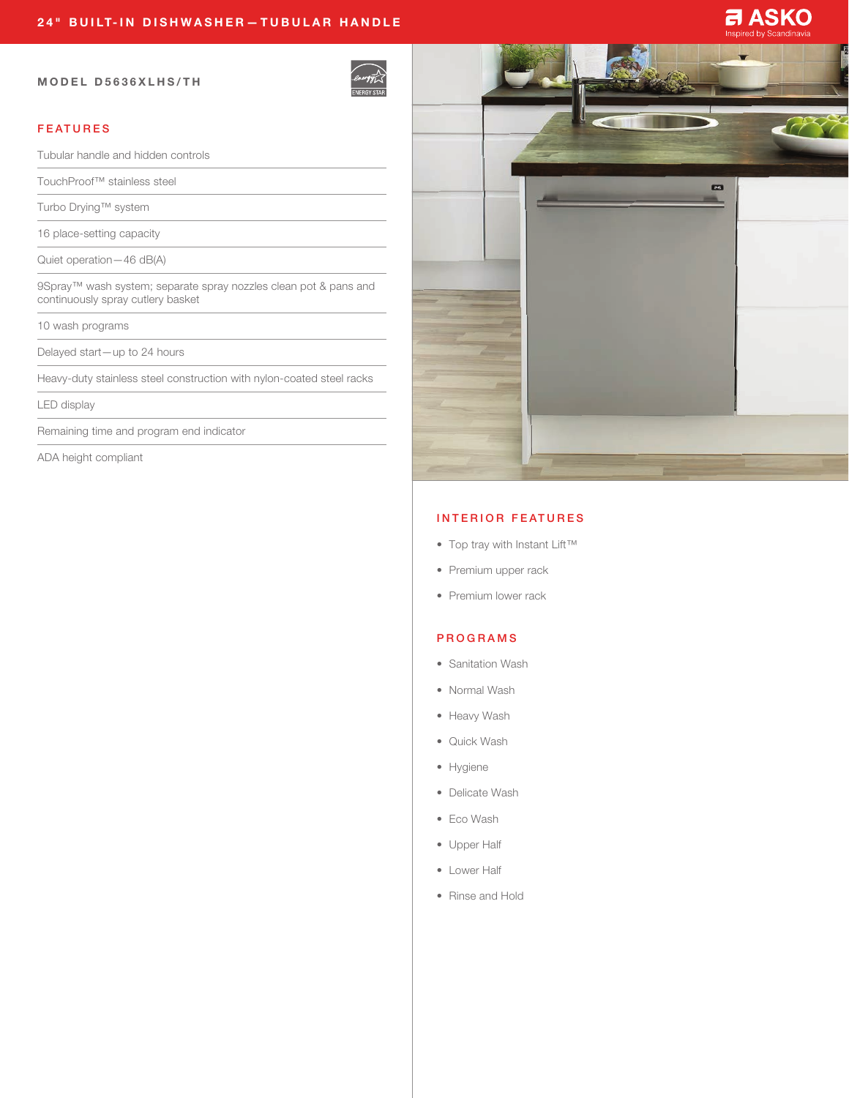## **a ASKO**

#### MODEL D5636XLHS/TH



### FEATURES

Tubular handle and hidden controls

TouchProof™ stainless steel

Turbo Drying™ system

16 place-setting capacity

Quiet operation—46 dB(A)

9Spray™ wash system; separate spray nozzles clean pot & pans and continuously spray cutlery basket

10 wash programs

Delayed start—up to 24 hours

Heavy-duty stainless steel construction with nylon-coated steel racks

LED display

Remaining time and program end indicator

ADA height compliant



## INTERIOR FEATURES

- Top tray with Instant Lift™
- Premium upper rack
- Premium lower rack

### PROGRAMS

- Sanitation Wash
- Normal Wash
- Heavy Wash
- Quick Wash
- Hygiene
- Delicate Wash
- Eco Wash
- Upper Half
- Lower Half
- Rinse and Hold